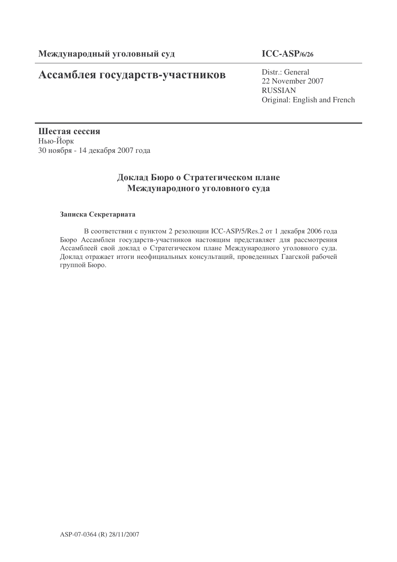# Ассамблея государств-участников

### **ICC-ASP/6/26**

Distr.: General 22 November 2007 RUSSIAN Original: English and French

Шестая сессия Нью-Йорк 30 ноября - 14 декабря 2007 года

## Доклад Бюро о Стратегическом плане Международного уголовного суда

### Записка Секретариата

В соответствии с пунктом 2 резолюции ICC-ASP/5/Res.2 от 1 декабря 2006 года Бюро Ассамблеи государств-участников настоящим представляет для рассмотрения Ассамблеей свой доклад о Стратегическом плане Международного уголовного суда. Доклад отражает итоги неофициальных консультаций, проведенных Гаагской рабочей группой Бюро.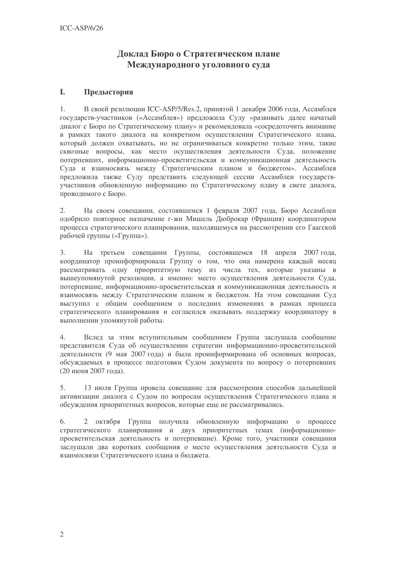## Доклад Бюро о Стратегическом плане Международного уголовного суда

#### L. Предыстория

В своей резолюции ICC-ASP/5/Res.2, принятой 1 декабря 2006 года, Ассамблея  $\mathbf{1}$ государств-участников («Ассамблея») предложила Суду «развивать далее начатый диалог с Бюро по Стратегическому плану» и рекомендовала «сосредоточить внимание в рамках такого диалога на конкретном осуществлении Стратегического плана, который должен охватывать, но не ограничиваться конкретно только этим, такие сквозные вопросы, как место осуществления деятельности Суда, положение потерпевших, информационно-просветительская и коммуникационная деятельность Суда и взаимосвязь между Стратегическим планом и бюджетом». Ассамблея предложила также Суду представить следующей сессии Ассамблеи государствучастников обновленную информацию по Стратегическому плану в свете диалога, проводимого с Бюро.

 $2.$ На своем совещании, состоявшемся 1 февраля 2007 года, Бюро Ассамблеи одобрило повторное назначение г-жи Мишель Люброкар (Франция) координатором процесса стратегического планирования, находящемуся на рассмотрении его Гаагской рабочей группы («Группа»).

На третьем совещании Группы, состоявшемся 18 апреля 2007 года.  $\overline{3}$ . координатор проинформировала Группу о том, что она намерена каждый месяц рассматривать одну приоритетную тему из числа тех, которые указаны в вышеупомянутой резолюции, а именно: место осуществления деятельности Суда, потерпевшие, информационно-просветительская и коммуникационная деятельность и взаимосвязь между Стратегическим планом и бюджетом. На этом совещании Суд выступил с общим сообщением о последних изменениях в рамках процесса стратегического планирования и согласился оказывать поддержку координатору в выполнении упомянутой работы.

Вслед за этим вступительным сообщением Группа заслушала сообщение  $4.$ представителя Суда об осуществлении стратегии информационно-просветительской деятельности (9 мая 2007 года) и была проинформирована об основных вопросах, обсуждаемых в процессе подготовки Судом документа по вопросу о потерпевших (20 июня 2007 года).

5. 13 июля Группа провела совещание для рассмотрения способов дальнейшей активизации диалога с Судом по вопросам осуществления Стратегического плана и обсуждения приоритетных вопросов, которые еще не рассматривались.

6. 2 октября Группа получила обновленную информацию о процессе стратегического планирования и двух приоритетных темах (информационнопросветительская деятельность и потерпевшие). Кроме того, участники совещания заслушали два коротких сообщения о месте осуществления деятельности Суда и взаимосвязи Стратегического плана и бюджета.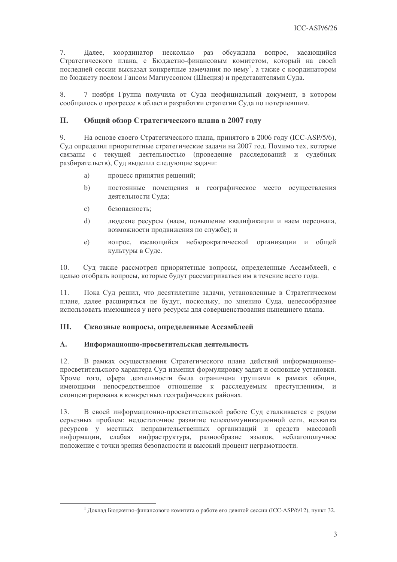7. координатор несколько раз обсуждала вопрос, касающийся Далее, Стратегического плана, с Бюджетно-финансовым комитетом, который на своей последней сессии высказал конкретные замечания по нему<sup>1</sup>, а также с координатором по бюджету послом Гансом Магнуссоном (Швеция) и представителями Суда.

8. 7 ноября Группа получила от Суда неофициальный документ, в котором сообщалось о прогрессе в области разработки стратегии Суда по потерпевшим.

#### II. Общий обзор Стратегического плана в 2007 году

9. На основе своего Стратегического плана, принятого в 2006 году (ICC-ASP/5/6), Суд определил приоритетные стратегические задачи на 2007 год. Помимо тех, которые связаны с текущей деятельностью (проведение расследований и судебных разбирательств), Суд выделил следующие задачи:

- процесс принятия решений; a)
- $h)$ постоянные помещения и географическое место осуществления деятельности Суда;
- $\mathcal{C}$ ) безопасность:
- людские ресурсы (наем, повышение квалификации и наем персонала,  $\mathbf{d}$ возможности продвижения по службе); и
- вопрос, касающийся небюрократической организации и общей  $e)$ культуры в Суде.

 $10.$ Суд также рассмотрел приоритетные вопросы, определенные Ассамблеей, с целью отобрать вопросы, которые будут рассматриваться им в течение всего года.

11. Пока Суд решил, что десятилетние задачи, установленные в Стратегическом плане, далее расширяться не будут, поскольку, по мнению Суда, целесообразнее использовать имеющиеся у него ресурсы для совершенствования нынешнего плана.

#### Ш. Сквозные вопросы, определенные Ассамблеей

#### $\mathbf{A}$ . Информационно-просветительская деятельность

12. В рамках осуществления Стратегического плана действий информационнопросветительского характера Суд изменил формулировку задач и основные установки. Кроме того, сфера деятельности была ограничена группами в рамках общин, имеющими непосредственное отношение к расследуемым преступлениям, и сконцентрирована в конкретных географических районах.

 $13.$ В своей информационно-просветительской работе Суд сталкивается с рядом серьезных проблем: нелостаточное развитие телекоммуникационной сети, нехватка ресурсов у местных неправительственных организаций и средств массовой информации, слабая инфраструктура, разнообразие языков, неблагополучное положение с точки зрения безопасности и высокий процент неграмотности.

<sup>&</sup>lt;sup>1</sup> Доклад Бюджетно-финансового комитета о работе его девятой сессии (ICC-ASP/6/12), пункт 32.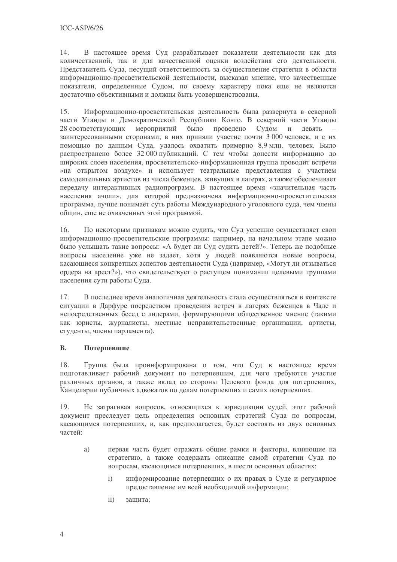В настоящее время Суд разрабатывает показатели деятельности как для 14. количественной, так и для качественной оценки воздействия его деятельности. Представитель Суда, несущий ответственность за осуществление стратегии в области информационно-просветительской деятельности, высказал мнение, что качественные показатели, определенные Судом, по своему характеру пока еще не являются достаточно объективными и должны быть усовершенствованы.

15. Информационно-просветительская деятельность была развернута в северной части Уганды и Демократической Республики Конго. В северной части Уганды 28 соответствующих мероприятий было проведено Судом и девять заинтересованными сторонами; в них приняли участие почти 3000 человек, и с их помощью по данным Суда, удалось охватить примерно 8,9 млн. человек. Было распространено более 32 000 публикаций. С тем чтобы донести информацию до широких слоев населения, просветительско-информационная группа проводит встречи «на открытом воздухе» и использует театральные представления с участием самодеятельных артистов из числа беженцев, живущих в лагерях, а также обеспечивает передачу интерактивных радиопрограмм. В настоящее время «значительная часть населения ачоли», лля которой прелназначена информационно-просветительская программа, лучше понимает суть работы Международного уголовного суда, чем члены общин, еще не охваченных этой программой.

16. По некоторым признакам можно судить, что Суд успешно осуществляет свои информационно-просветительские программы: например, на начальном этапе можно было услышать такие вопросы: «А будет ли Суд судить детей?». Теперь же подобные вопросы население уже не задает, хотя у людей появляются новые вопросы, касающиеся конкретных аспектов деятельности Суда (например, «Могут ли отзываться ордера на арест?»), что свидетельствует о растущем понимании целевыми группами населения сути работы Суда.

17. В последнее время аналогичная деятельность стала осуществляться в контексте ситуации в Дарфуре посредством проведения встреч в лагерях беженцев в Чаде и непосредственных бесед с лидерами, формирующими общественное мнение (такими как юристы, журналисты, местные неправительственные организации, артисты, студенты, члены парламента).

#### $\mathbf{B}$ . Потерпевшие

18. Группа была проинформирована о том, что Суд в настоящее время подготавливает рабочий документ по потерпевшим, для чего требуются участие различных органов, а также вклад со стороны Целевого фонда для потерпевших, Канцелярии публичных адвокатов по делам потерпевших и самих потерпевших.

19. Не затрагивая вопросов, относящихся к юрисдикции судей, этот рабочий документ преследует цель определения основных стратегий Суда по вопросам, касающимся потерпевших, и, как предполагается, будет состоять из двух основных частей:

- первая часть будет отражать общие рамки и факторы, влияющие на a) стратегию, а также содержать описание самой стратегии Суда по вопросам, касающимся потерпевших, в шести основных областях:
	- $\mathbf{i}$ информирование потерпевших о их правах в Суде и регулярное предоставление им всей необходимой информации;
	- $\mathbf{ii}$ защита: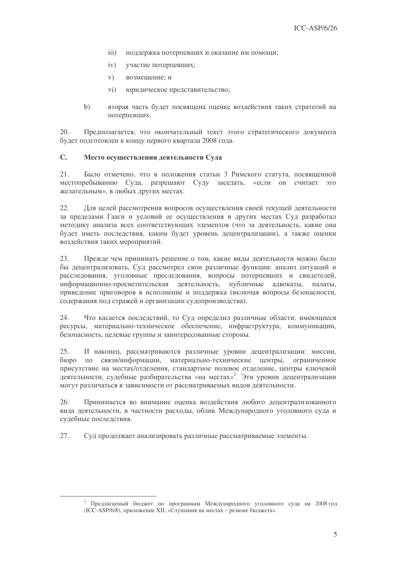- $\overline{iii}$ ) поддержка потерпевших и оказание им помощи;
- $iv)$ участие потерпевших:
- $V)$ возмешение: и
- $\rm vi)$ юридическое представительство;
- вторая часть будет посвящена оценке воздействия таких стратегий на  $b)$ потерпевших.

20. Предполагается, что окончательный текст этого стратегического документа будет подготовлен к концу первого квартала 2008 года.

#### $\mathbf{C}$ . Место осуществления деятельности Суда

 $21$ Было отмечено, что в положения статьи 3 Римского статута, посвященной местопребыванию Суда, разрешают Суду заседать, «если он считает это желательным», в любых других местах.

 $22.$ Лля нелей рассмотрения вопросов осуществления своей текущей леятельности за пределами Гааги и условий ее осуществления в других местах Суд разработал методику анализа всех соответствующих элементов (что за деятельность, какие она будет иметь последствия, каким будет уровень децентрализации), а также оценки воздействия таких мероприятий.

23. Прежде чем принимать решение о том, какие виды деятельности можно было бы децентрализовать, Суд рассмотрел свои различные функции: анализ ситуаций и расследования, уголовные преследования, вопросы потерпевших и свидетелей, информационно-просветительская деятельность, публичные адвокаты, палаты. приведение приговоров в исполнение и поддержка (включая вопросы безопасности, содержания под стражей и организации судопроизводства).

24. Что касается последствий, то Суд определил различные области: имеющиеся ресурсы, материально-техническое обеспечение, инфраструктура, коммуникации, безопасность, целевые группы и заинтересованные стороны.

25. И наконец, рассматриваются различные уровни децентрализации: миссии, бюро по связи/информации, материально-технические центры, ограниченное присутствие на местах/отделения, стандартное полевое отделение, центры ключевой деятельности, судебные разбирательства «на местах»<sup>2</sup>. Эти уровни децентрализации могут различаться в зависимости от рассматриваемых видов деятельности.

26. Принимается во внимание оценка воздействия любого децентрализованного вида деятельности, в частности расходы, облик Международного уголовного суда и судебные последствия.

27. Суд продолжает анализировать различные рассматриваемые элементы.

<sup>2</sup> Предлагаемый бюджет по программам Международного уголовного суда на 2008 год (ICC-ASP/6/8), приложение XII, «Слушания на местах - резюме бюджета».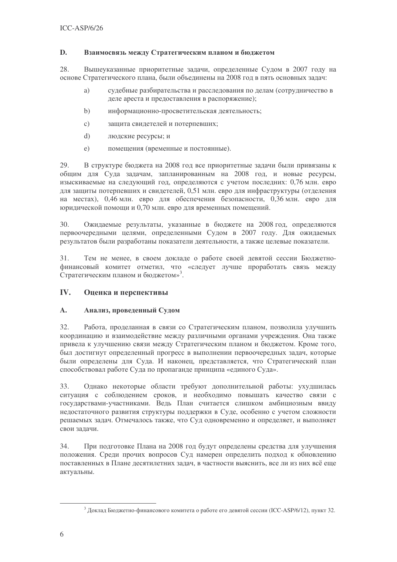#### D. Взаимосвязь между Стратегическим планом и бюджетом

28. Вышеуказанные приоритетные задачи, определенные Судом в 2007 году на основе Стратегического плана, были объединены на 2008 год в пять основных задач:

- судебные разбирательства и расследования по делам (сотрудничество в a) деле ареста и предоставления в распоряжение);
- $b)$ информационно-просветительская деятельность;
- $\mathcal{C}$ ) защита свидетелей и потерпевших;
- $\mathrm{d}$ людские ресурсы; и
- помещения (временные и постоянные).  $e)$

29. В структуре бюджета на 2008 год все приоритетные задачи были привязаны к общим для Суда задачам, запланированным на 2008 год, и новые ресурсы, изыскиваемые на следующий год, определяются с учетом последних: 0,76 млн. евро для защиты потерпевших и свидетелей, 0,51 млн. евро для инфраструктуры (отделения на местах), 0,46 млн. евро для обеспечения безопасности, 0,36 млн. евро для юридической помощи и 0,70 млн. евро для временных помещений.

 $30.$ Ожилаемые результаты, указанные в бюлжете на 2008 год, определяются первоочередными целями, определенными Судом в 2007 году. Для ожидаемых результатов были разработаны показатели деятельности, а также целевые показатели.

 $31.$ Тем не менее, в своем докладе о работе своей девятой сессии Бюджетнофинансовый комитет отметил, что «следует лучше проработать связь между Стратегическим планом и бюджетом»<sup>3</sup>.

#### IV. Оценка и перспективы

#### $\mathbf{A}$ . Анализ, проведенный Судом

 $32<sub>1</sub>$ Работа, проделанная в связи со Стратегическим планом, позволила улучшить координацию и взаимодействие между различными органами учреждения. Она также привела к улучшению связи между Стратегическим планом и бюджетом. Кроме того, был достигнут определенный прогресс в выполнении первоочередных задач, которые были определены для Суда. И наконец, представляется, что Стратегический план способствовал работе Суда по пропаганде принципа «единого Суда».

Однако некоторые области требуют дополнительной работы: ухудшилась 33. ситуация с соблюдением сроков, и необходимо повышать качество связи с государствами-участниками. Ведь План считается слишком амбициозным ввиду недостаточного развития структуры поддержки в Суде, особенно с учетом сложности решаемых залач. Отмечалось также, что Сул одновременно и определяет, и выполняет свои залачи.

 $34.$ При подготовке Плана на 2008 год будут определены средства для улучшения положения. Среди прочих вопросов Суд намерен определить подход к обновлению поставленных в Плане десятилетних задач, в частности выяснить, все ли из них всё еще актуальны.

<sup>&</sup>lt;sup>3</sup> Доклад Бюджетно-финансового комитета о работе его девятой сессии (ICC-ASP/6/12), пункт 32.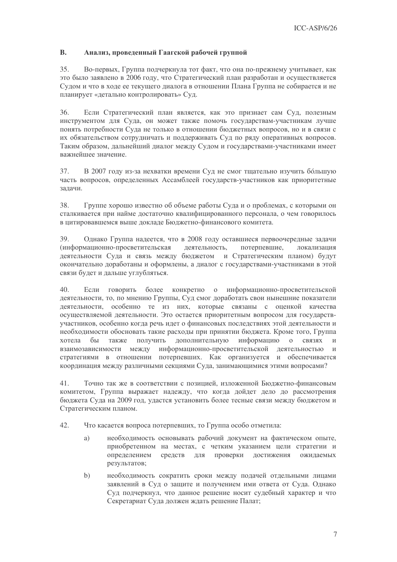#### **B.** Анализ, проведенный Гаагской рабочей группой

35. Во-первых, Группа подчеркнула тот факт, что она по-прежнему учитывает, как это было заявлено в 2006 году, что Стратегический план разработан и осуществляется Судом и что в ходе ее текущего диалога в отношении Плана Группа не собирается и не планирует «детально контролировать» Суд.

36. Если Стратегический план является, как это признает сам Суд, полезным инструментом для Суда, он может также помочь государствам-участникам лучше понять потребности Суда не только в отношении бюджетных вопросов, но и в связи с их обязательством сотрудничать и поддерживать Суд по ряду оперативных вопросов. Таким образом, дальнейший диалог между Судом и государствами-участниками имеет важнейшее значение.

В 2007 году из-за нехватки времени Суд не смог тщательно изучить большую 37. часть вопросов, определенных Ассамблеей государств-участников как приоритетные залачи.

38. Группе хорошо известно об объеме работы Суда и о проблемах, с которыми он сталкивается при найме достаточно квалифицированного персонала, о чем говорилось в цитировавшемся выше докладе Бюджетно-финансового комитета.

Однако Группа надеется, что в 2008 году оставшиеся первоочередные задачи 39. (информационно-просветительская деятельность, потерпевшие. локализания деятельности Суда и связь между бюджетом и Стратегическим планом) будут окончательно доработаны и оформлены, а диалог с государствами-участниками в этой связи будет и дальше углубляться.

 $40.$ информационно-просветительской Если ГОВОРИТЬ более конкретно о деятельности, то, по мнению Группы, Суд смог доработать свои нынешние показатели деятельности, особенно те из них, которые связаны с оценкой качества осуществляемой деятельности. Это остается приоритетным вопросом для государствучастников, особенно когда речь идет о финансовых последствиях этой деятельности и необходимости обосновать такие расходы при принятии бюджета. Кроме того, Группа хотела бы также получить дополнительную информацию о СВЯЗЯХ  $\mathbf{M}$ взаимозависимости между информационно-просветительской деятельностью  $\overline{M}$ стратегиями в отношении потерпевших. Как организуется и обеспечивается координация между различными секциями Суда, занимающимися этими вопросами?

Точно так же в соответствии с позицией, изложенной Бюджетно-финансовым 41. комитетом, Группа выражает надежду, что когда дойдет дело до рассмотрения бюджета Суда на 2009 год, удастся установить более тесные связи между бюджетом и Стратегическим планом.

- 42. Что касается вопроса потерпевших, то Группа особо отметила:
	- необходимость основывать рабочий документ на фактическом опыте, a) приобретенном на местах, с четким указанием цели стратегии и определением средств для проверки достижения ожидаемых результатов;
	- $b)$ необходимость сократить сроки между подачей отдельными лицами заявлений в Суд о защите и получением ими ответа от Суда. Однако Суд подчеркнул, что данное решение носит судебный характер и что Секретариат Суда должен ждать решение Палат;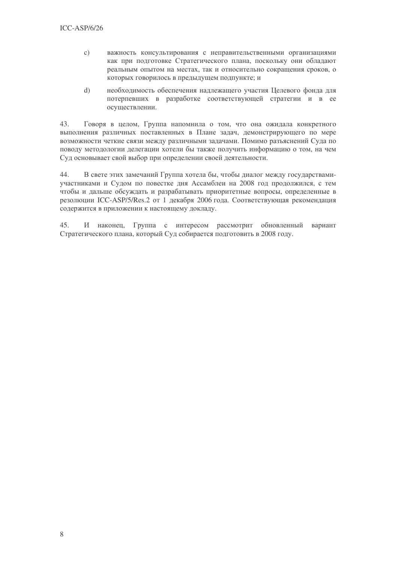- важность консультирования с неправительственными организациями  $\mathbf{c})$ как при подготовке Стратегического плана, поскольку они обладают реальным опытом на местах, так и относительно сокращения сроков, о которых говорилось в предыдущем подпункте; и
- $\mathrm{d}$ необходимость обеспечения надлежащего участия Целевого фонда для потерпевших в разработке соответствующей стратегии и в ее осуществлении.

43. Говоря в целом, Группа напомнила о том, что она ожидала конкретного выполнения различных поставленных в Плане задач, демонстрирующего по мере возможности четкие связи между различными задачами. Помимо разъяснений Суда по поводу методологии делегации хотели бы также получить информацию о том, на чем Суд основывает свой выбор при определении своей деятельности.

В свете этих замечаний Группа хотела бы, чтобы диалог между государствами- $44.$ участниками и Судом по повестке дня Ассамблеи на 2008 год продолжился, с тем чтобы и дальше обсуждать и разрабатывать приоритетные вопросы, определенные в резолюции ICC-ASP/5/Res.2 от 1 декабря 2006 года. Соответствующая рекомендация содержится в приложении к настоящему докладу.

 $45$  $\overline{M}$ наконец, Группа с интересом рассмотрит обновленный вариант Стратегического плана, который Суд собирается подготовить в 2008 году.